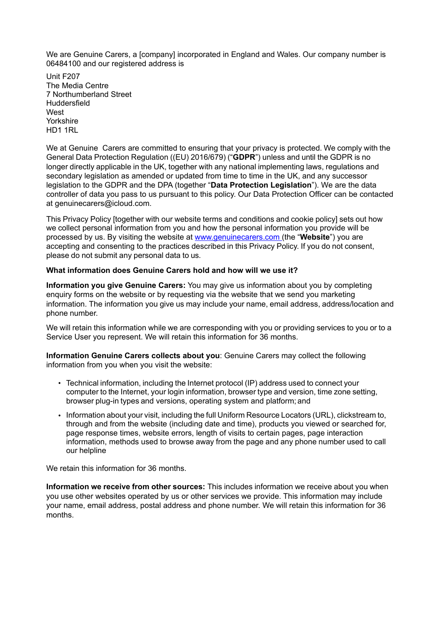We are Genuine Carers, a [company] incorporated in England and Wales. Our company number is 06484100 and our registered address is

Unit F207 The Media Centre 7 Northumberland Street Huddersfield **West** Yorkshire HD1 1RL

We at Genuine Carers are committed to ensuring that your privacy is protected. We comply with the General Data Protection Regulation ((EU) 2016/679) ("**GDPR**") unless and until the GDPR is no longer directly applicable in the UK, together with any national implementing laws, regulations and secondary legislation as amended or updated from time to time in the UK, and any successor legislation to the GDPR and the DPA (together "**Data Protection Legislation**"). We are the data controller of data you pass to us pursuant to this policy. Our Data Protection Officer can be contacted at genuinecarers@icloud.com.

This Privacy Policy [together with our website terms and conditions and cookie policy] sets out how we collect personal information from you and how the personal information you provide will be processed by us. By visiting the website at www.genuinecarers.com (the "**Website**") you are accepting and consenting to the practices described in this Privacy Policy. If you do not consent, please do not submit any personal data to us.

## **What information does Genuine Carers hold and how will we use it?**

**Information you give Genuine Carers:** You may give us information about you by completing enquiry forms on the website or by requesting via the website that we send you marketing information. The information you give us may include your name, email address, address/location and phone number.

We will retain this information while we are corresponding with you or providing services to you or to a Service User you represent. We will retain this information for 36 months.

**Information Genuine Carers collects about you**: Genuine Carers may collect the following information from you when you visit the website:

- Technical information, including the Internet protocol (IP) address used to connect your computer to the Internet, your login information, browser type and version, time zone setting, browser plug-in types and versions, operating system and platform; and
- Information about your visit, including the full Uniform Resource Locators (URL), clickstream to, through and from the website (including date and time), products you viewed or searched for, page response times, website errors, length of visits to certain pages, page interaction information, methods used to browse away from the page and any phone number used to call our helpline

We retain this information for 36 months.

**Information we receive from other sources:** This includes information we receive about you when you use other websites operated by us or other services we provide. This information may include your name, email address, postal address and phone number. We will retain this information for 36 months.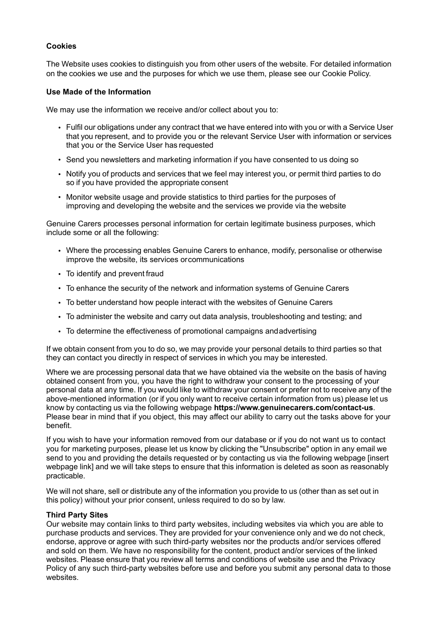# **Cookies**

The Website uses cookies to distinguish you from other users of the website. For detailed information on the cookies we use and the purposes for which we use them, please see our Cookie Policy.

### **Use Made of the Information**

We may use the information we receive and/or collect about you to:

- Fulfil our obligations under any contract that we have entered into with you or with a Service User that you represent, and to provide you or the relevant Service User with information or services that you or the Service User has requested
- Send you newsletters and marketing information if you have consented to us doing so
- Notify you of products and services that we feel may interest you, or permit third parties to do so if you have provided the appropriate consent
- Monitor website usage and provide statistics to third parties for the purposes of improving and developing the website and the services we provide via the website

Genuine Carers processes personal information for certain legitimate business purposes, which include some or all the following:

- Where the processing enables Genuine Carers to enhance, modify, personalise or otherwise improve the website, its services orcommunications
- To identify and prevent fraud
- To enhance the security of the network and information systems of Genuine Carers
- To better understand how people interact with the websites of Genuine Carers
- To administer the website and carry out data analysis, troubleshooting and testing; and
- To determine the effectiveness of promotional campaigns and advertising

If we obtain consent from you to do so, we may provide your personal details to third parties so that they can contact you directly in respect of services in which you may be interested.

Where we are processing personal data that we have obtained via the website on the basis of having obtained consent from you, you have the right to withdraw your consent to the processing of your personal data at any time. If you would like to withdraw your consent or prefer not to receive any of the above-mentioned information (or if you only want to receive certain information from us) please let us know by contacting us via the following webpage **https://www.genuinecarers.com/contact-us**. Please bear in mind that if you object, this may affect our ability to carry out the tasks above for your benefit.

If you wish to have your information removed from our database or if you do not want us to contact you for marketing purposes, please let us know by clicking the "Unsubscribe" option in any email we send to you and providing the details requested or by contacting us via the following webpage [insert webpage link] and we will take steps to ensure that this information is deleted as soon as reasonably practicable.

We will not share, sell or distribute any of the information you provide to us (other than as set out in this policy) without your prior consent, unless required to do so by law.

#### **Third Party Sites**

Our website may contain links to third party websites, including websites via which you are able to purchase products and services. They are provided for your convenience only and we do not check, endorse, approve or agree with such third-party websites nor the products and/or services offered and sold on them. We have no responsibility for the content, product and/or services of the linked websites. Please ensure that you review all terms and conditions of website use and the Privacy Policy of any such third-party websites before use and before you submit any personal data to those websites.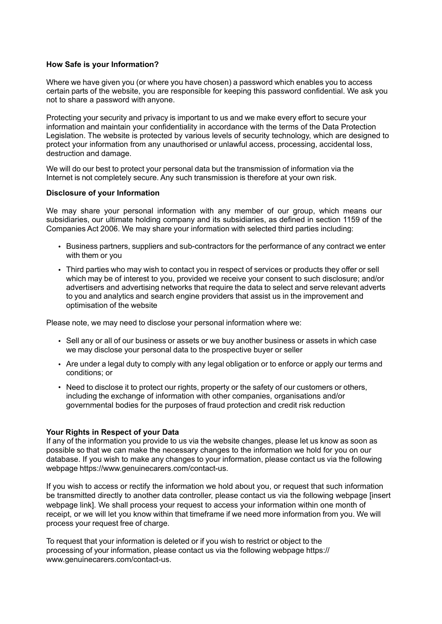## **How Safe is your Information?**

Where we have given you (or where you have chosen) a password which enables you to access certain parts of the website, you are responsible for keeping this password confidential. We ask you not to share a password with anyone.

Protecting your security and privacy is important to us and we make every effort to secure your information and maintain your confidentiality in accordance with the terms of the Data Protection Legislation. The website is protected by various levels of security technology, which are designed to protect your information from any unauthorised or unlawful access, processing, accidental loss, destruction and damage.

We will do our best to protect your personal data but the transmission of information via the Internet is not completely secure. Any such transmission is therefore at your own risk.

## **Disclosure of your Information**

We may share your personal information with any member of our group, which means our subsidiaries, our ultimate holding company and its subsidiaries, as defined in section 1159 of the Companies Act 2006. We may share your information with selected third parties including:

- Business partners, suppliers and sub-contractors for the performance of any contract we enter with them or you
- Third parties who may wish to contact you in respect of services or products they offer or sell which may be of interest to you, provided we receive your consent to such disclosure; and/or advertisers and advertising networks that require the data to select and serve relevant adverts to you and analytics and search engine providers that assist us in the improvement and optimisation of the website

Please note, we may need to disclose your personal information where we:

- Sell any or all of our business or assets or we buy another business or assets in which case we may disclose your personal data to the prospective buyer or seller
- Are under a legal duty to comply with any legal obligation or to enforce or apply our terms and conditions; or
- Need to disclose it to protect our rights, property or the safety of our customers or others, including the exchange of information with other companies, organisations and/or governmental bodies for the purposes of fraud protection and credit risk reduction

## **Your Rights in Respect of your Data**

If any of the information you provide to us via the website changes, please let us know as soon as possible so that we can make the necessary changes to the information we hold for you on our database. If you wish to make any changes to your information, please contact us via the following webpage https://www.genuinecarers.com/contact-us.

If you wish to access or rectify the information we hold about you, or request that such information be transmitted directly to another data controller, please contact us via the following webpage [insert webpage link]. We shall process your request to access your information within one month of receipt, or we will let you know within that timeframe if we need more information from you. We will process your request free of charge.

To request that your information is deleted or if you wish to restrict or object to the processing of your information, please contact us via the following webpage https:// www.genuinecarers.com/contact-us.